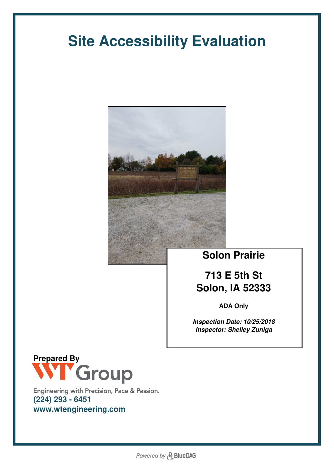# **Site Accessibility Evaluation**



## **Solon Prairie**

# **713 E 5th St Solon, IA 52333**

**ADA Only**

*Inspection Date: 10/25/2018 Inspector: Shelley Zuniga*



Engineering with Precision, Pace & Passion. **(224) 293 - 6451 www.wtengineering.com**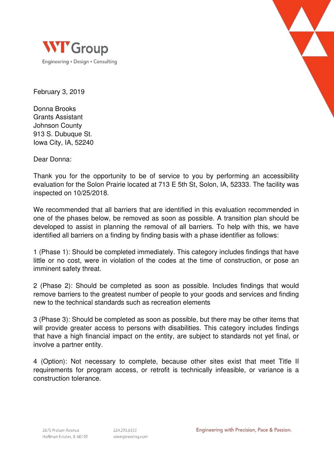



February 3, 2019

Donna Brooks Grants Assistant Johnson County 913 S. Dubuque St. Iowa City, IA, 52240

Dear Donna:

Thank you for the opportunity to be of service to you by performing an accessibility evaluation for the Solon Prairie located at 713 E 5th St, Solon, IA, 52333. The facility was inspected on 10/25/2018.

We recommended that all barriers that are identified in this evaluation recommended in one of the phases below, be removed as soon as possible. A transition plan should be developed to assist in planning the removal of all barriers. To help with this, we have identified all barriers on a finding by finding basis with a phase identifier as follows:

1 (Phase 1): Should be completed immediately. This category includes findings that have little or no cost, were in violation of the codes at the time of construction, or pose an imminent safety threat.

2 (Phase 2): Should be completed as soon as possible. Includes findings that would remove barriers to the greatest number of people to your goods and services and finding new to the technical standards such as recreation elements

3 (Phase 3): Should be completed as soon as possible, but there may be other items that will provide greater access to persons with disabilities. This category includes findings that have a high financial impact on the entity, are subject to standards not yet final, or involve a partner entity.

4 (Option): Not necessary to complete, because other sites exist that meet Title II requirements for program access, or retrofit is technically infeasible, or variance is a construction tolerance.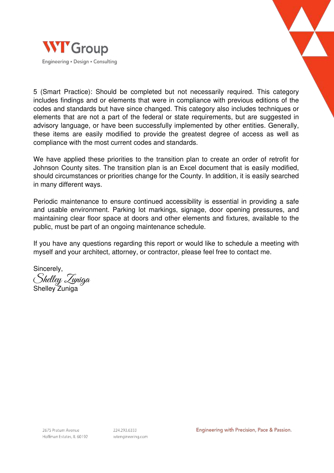



5 (Smart Practice): Should be completed but not necessarily required. This category includes findings and or elements that were in compliance with previous editions of the codes and standards but have since changed. This category also includes techniques or elements that are not a part of the federal or state requirements, but are suggested in advisory language, or have been successfully implemented by other entities. Generally, these items are easily modified to provide the greatest degree of access as well as compliance with the most current codes and standards.

We have applied these priorities to the transition plan to create an order of retrofit for Johnson County sites. The transition plan is an Excel document that is easily modified, should circumstances or priorities change for the County. In addition, it is easily searched in many different ways.

Periodic maintenance to ensure continued accessibility is essential in providing a safe and usable environment. Parking lot markings, signage, door opening pressures, and maintaining clear floor space at doors and other elements and fixtures, available to the public, must be part of an ongoing maintenance schedule.

If you have any questions regarding this report or would like to schedule a meeting with myself and your architect, attorney, or contractor, please feel free to contact me.

Sincerely, Shelley Zuniga Shelley Zuniga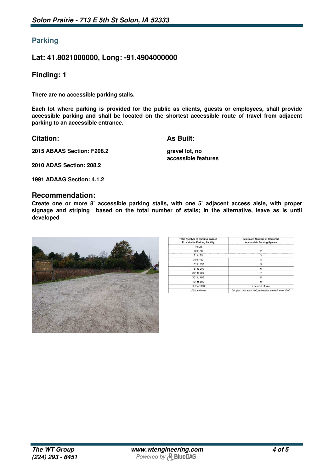### **Parking**

#### **Lat: 41.8021000000, Long: -91.4904000000**

#### **Finding: 1**

**There are no accessible parking stalls.**

**Each lot where parking is provided for the public as clients, guests or employees, shall provide accessible parking and shall be located on the shortest accessible route of travel from adjacent parking to an accessible entrance.**

**Citation:**

**As Built:**

**2015 ABAAS Section: F208.2**

**gravel lot, no accessible features**

**2010 ADAS Section: 208.2**

**1991 ADAAG Section: 4.1.2**

#### **Recommendation:**

**Create one or more 8' accessible parking stalls, with one 5' adjacent access aisle, with proper signage and striping based on the total number of stalls; in the alternative, leave as is until developed**



| <b>Total Number of Parking Spaces</b><br><b>Provided in Parking Facility</b> | <b>Minimum Number of Required</b><br><b>Accessible Parking Spaces</b> |
|------------------------------------------------------------------------------|-----------------------------------------------------------------------|
| 1 to 25                                                                      |                                                                       |
| 26 to 50                                                                     | $\overline{2}$                                                        |
| 51 to 75                                                                     | 3                                                                     |
| 76 to 100                                                                    |                                                                       |
| 101 to 150                                                                   | 5                                                                     |
| 151 to 200                                                                   | 6                                                                     |
| 201 to 300                                                                   |                                                                       |
| 301 to 400                                                                   | 8                                                                     |
| 401 to 500                                                                   | 9                                                                     |
| 501 to 1000                                                                  | 2 percent of total                                                    |
| 1001 and over                                                                | 20, plus 1 for each 100, or fraction thereof, over 1000               |